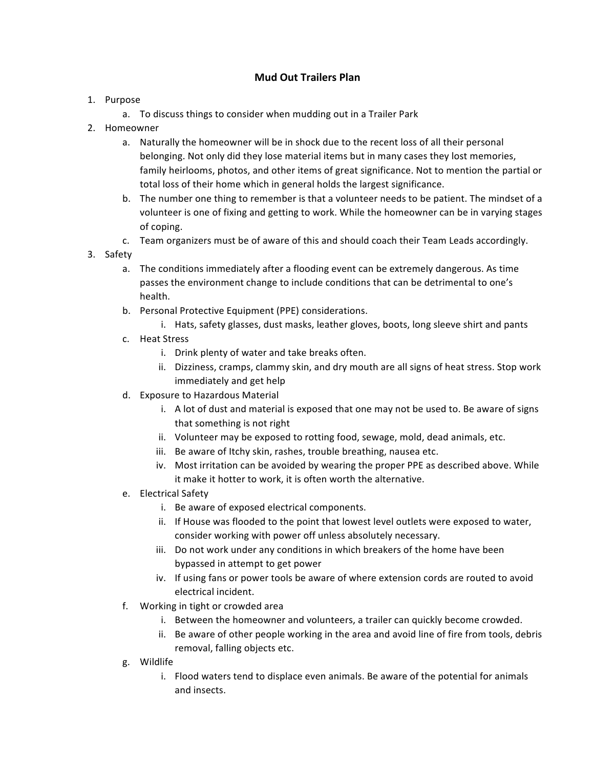## **Mud Out Trailers Plan**

- 1. Purpose
	- a. To discuss things to consider when mudding out in a Trailer Park
- 2. Homeowner
	- a. Naturally the homeowner will be in shock due to the recent loss of all their personal belonging. Not only did they lose material items but in many cases they lost memories, family heirlooms, photos, and other items of great significance. Not to mention the partial or total loss of their home which in general holds the largest significance.
	- b. The number one thing to remember is that a volunteer needs to be patient. The mindset of a volunteer is one of fixing and getting to work. While the homeowner can be in varying stages of coping.
	- c. Team organizers must be of aware of this and should coach their Team Leads accordingly.
- 3. Safety
	- a. The conditions immediately after a flooding event can be extremely dangerous. As time passes the environment change to include conditions that can be detrimental to one's health.
	- b. Personal Protective Equipment (PPE) considerations.
		- i. Hats, safety glasses, dust masks, leather gloves, boots, long sleeve shirt and pants
	- c. Heat Stress
		- i. Drink plenty of water and take breaks often.
		- ii. Dizziness, cramps, clammy skin, and dry mouth are all signs of heat stress. Stop work immediately and get help
	- d. Exposure to Hazardous Material
		- i. A lot of dust and material is exposed that one may not be used to. Be aware of signs that something is not right
		- ii. Volunteer may be exposed to rotting food, sewage, mold, dead animals, etc.
		- iii. Be aware of Itchy skin, rashes, trouble breathing, nausea etc.
		- iv. Most irritation can be avoided by wearing the proper PPE as described above. While it make it hotter to work, it is often worth the alternative.
	- e. Electrical Safety
		- i. Be aware of exposed electrical components.
		- ii. If House was flooded to the point that lowest level outlets were exposed to water, consider working with power off unless absolutely necessary.
		- iii. Do not work under any conditions in which breakers of the home have been bypassed in attempt to get power
		- iv. If using fans or power tools be aware of where extension cords are routed to avoid electrical incident.
	- f. Working in tight or crowded area
		- i. Between the homeowner and volunteers, a trailer can quickly become crowded.
		- ii. Be aware of other people working in the area and avoid line of fire from tools, debris removal, falling objects etc.
	- g. Wildlife
		- i. Flood waters tend to displace even animals. Be aware of the potential for animals and insects.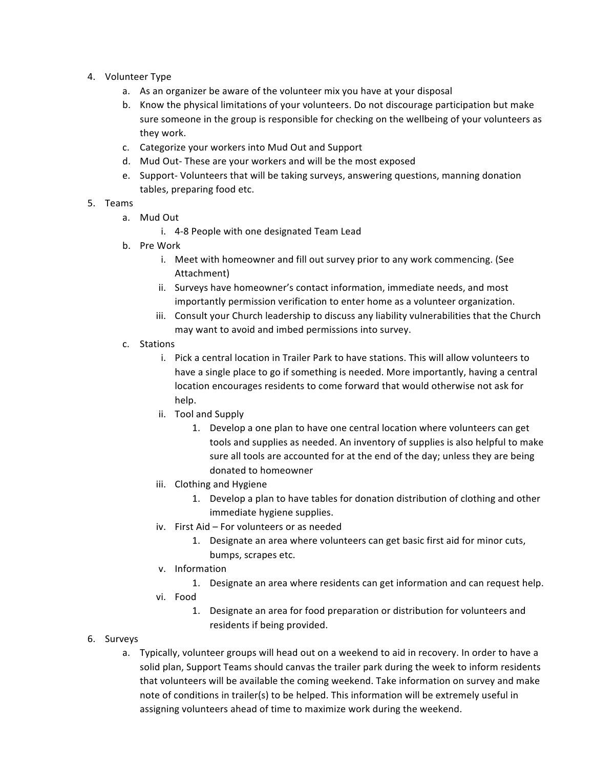- 4. Volunteer Type
	- a. As an organizer be aware of the volunteer mix you have at your disposal
	- b. Know the physical limitations of your volunteers. Do not discourage participation but make sure someone in the group is responsible for checking on the wellbeing of your volunteers as they work.
	- c. Categorize your workers into Mud Out and Support
	- d. Mud Out-These are your workers and will be the most exposed
	- e. Support- Volunteers that will be taking surveys, answering questions, manning donation tables, preparing food etc.
- 5. Teams
	- a. Mud Out
		- i. 4-8 People with one designated Team Lead
	- b. Pre Work
		- i. Meet with homeowner and fill out survey prior to any work commencing. (See Attachment)
		- ii. Surveys have homeowner's contact information, immediate needs, and most importantly permission verification to enter home as a volunteer organization.
		- iii. Consult your Church leadership to discuss any liability vulnerabilities that the Church may want to avoid and imbed permissions into survey.
	- c. Stations
		- i. Pick a central location in Trailer Park to have stations. This will allow volunteers to have a single place to go if something is needed. More importantly, having a central location encourages residents to come forward that would otherwise not ask for help.
		- ii. Tool and Supply
			- 1. Develop a one plan to have one central location where volunteers can get tools and supplies as needed. An inventory of supplies is also helpful to make sure all tools are accounted for at the end of the day; unless they are being donated to homeowner
		- iii. Clothing and Hygiene
			- 1. Develop a plan to have tables for donation distribution of clothing and other immediate hygiene supplies.
		- iv. First Aid For volunteers or as needed
			- 1. Designate an area where volunteers can get basic first aid for minor cuts, bumps, scrapes etc.
		- v. Information
			- 1. Designate an area where residents can get information and can request help.
		- vi. Food
			- 1. Designate an area for food preparation or distribution for volunteers and residents if being provided.
- 6. Surveys
	- a. Typically, volunteer groups will head out on a weekend to aid in recovery. In order to have a solid plan, Support Teams should canvas the trailer park during the week to inform residents that volunteers will be available the coming weekend. Take information on survey and make note of conditions in trailer(s) to be helped. This information will be extremely useful in assigning volunteers ahead of time to maximize work during the weekend.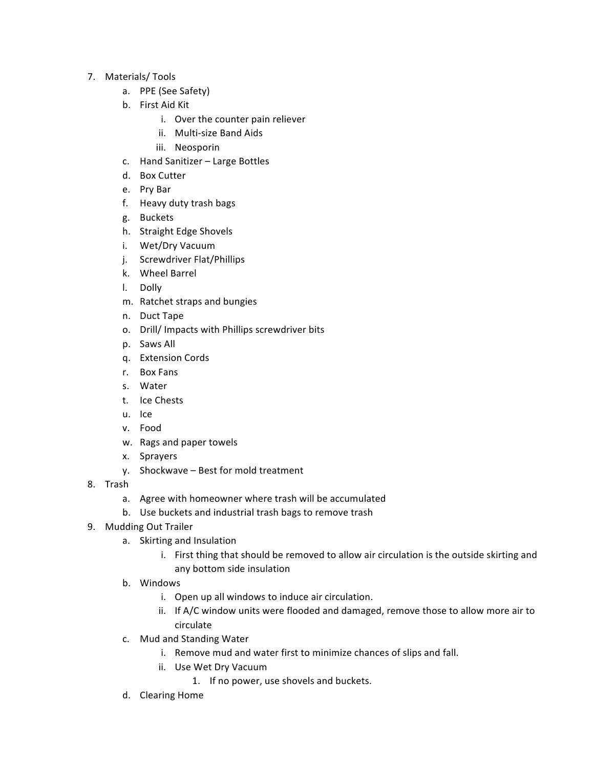- 7. Materials/ Tools
	- a. PPE (See Safety)
	- b. First Aid Kit
		- i. Over the counter pain reliever
		- ii. Multi-size Band Aids
		- iii. Neosporin
	- c. Hand Sanitizer Large Bottles
	- d. Box Cutter
	- e. Pry Bar
	- f. Heavy duty trash bags
	- g. Buckets
	- h. Straight Edge Shovels
	- i. Wet/Dry Vacuum
	- j. Screwdriver Flat/Phillips
	- k. Wheel Barrel
	- l. Dolly
	- m. Ratchet straps and bungies
	- n. Duct Tape
	- o. Drill/ Impacts with Phillips screwdriver bits
	- p. Saws All
	- q. Extension Cords
	- r. Box Fans
	- s. Water
	- t. Ice Chests
	- u. Ice
	- v. Food
	- w. Rags and paper towels
	- x. Sprayers
	- $y.$  Shockwave Best for mold treatment
- 8. Trash
	- a. Agree with homeowner where trash will be accumulated
	- b. Use buckets and industrial trash bags to remove trash
- 9. Mudding Out Trailer
	- a. Skirting and Insulation
		- i. First thing that should be removed to allow air circulation is the outside skirting and any bottom side insulation
	- b. Windows
		- i. Open up all windows to induce air circulation.
		- ii. If A/C window units were flooded and damaged, remove those to allow more air to circulate
	- c. Mud and Standing Water
		- i. Remove mud and water first to minimize chances of slips and fall.
		- ii. Use Wet Dry Vacuum
			- 1. If no power, use shovels and buckets.
	- d. Clearing Home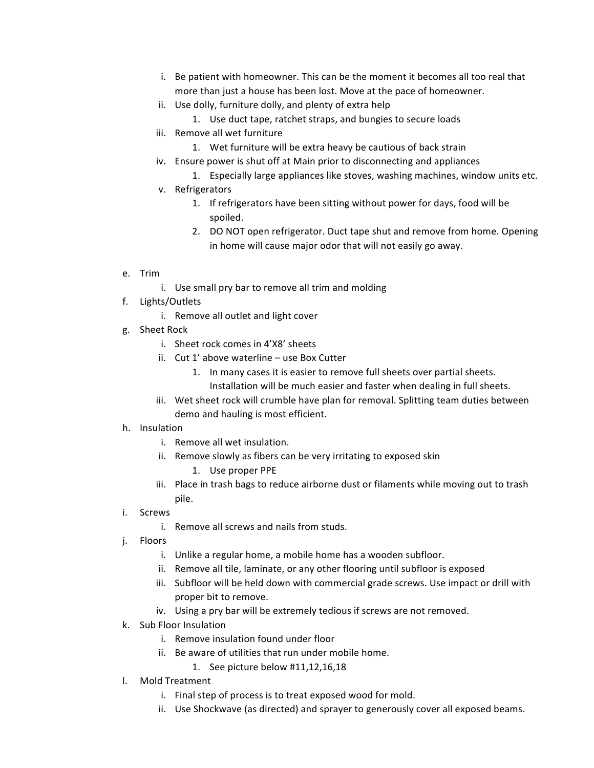- i. Be patient with homeowner. This can be the moment it becomes all too real that more than just a house has been lost. Move at the pace of homeowner.
- ii. Use dolly, furniture dolly, and plenty of extra help
	- 1. Use duct tape, ratchet straps, and bungies to secure loads
- iii. Remove all wet furniture
	- 1. Wet furniture will be extra heavy be cautious of back strain
- iv. Ensure power is shut off at Main prior to disconnecting and appliances
	- 1. Especially large appliances like stoves, washing machines, window units etc.
- v. Refrigerators
	- 1. If refrigerators have been sitting without power for days, food will be spoiled.
	- 2. DO NOT open refrigerator. Duct tape shut and remove from home. Opening in home will cause major odor that will not easily go away.
- e. Trim
	- i. Use small pry bar to remove all trim and molding
- f. Lights/Outlets
	- i. Remove all outlet and light cover
- g. Sheet Rock
	- i. Sheet rock comes in 4'X8' sheets
	- ii. Cut 1' above waterline use Box Cutter
		- 1. In many cases it is easier to remove full sheets over partial sheets. Installation will be much easier and faster when dealing in full sheets.
	- iii. Wet sheet rock will crumble have plan for removal. Splitting team duties between demo and hauling is most efficient.
- h. Insulation
	- i. Remove all wet insulation.
	- ii. Remove slowly as fibers can be very irritating to exposed skin
		- 1. Use proper PPE
	- iii. Place in trash bags to reduce airborne dust or filaments while moving out to trash pile.
- i. Screws
	- i. Remove all screws and nails from studs.
- j. Floors
	- i. Unlike a regular home, a mobile home has a wooden subfloor.
	- ii. Remove all tile, laminate, or any other flooring until subfloor is exposed
	- iii. Subfloor will be held down with commercial grade screws. Use impact or drill with proper bit to remove.
	- iv. Using a pry bar will be extremely tedious if screws are not removed.
- k. Sub Floor Insulation
	- i. Remove insulation found under floor
	- ii. Be aware of utilities that run under mobile home.
		- 1. See picture below #11,12,16,18
- l. Mold Treatment
	- i. Final step of process is to treat exposed wood for mold.
	- ii. Use Shockwave (as directed) and sprayer to generously cover all exposed beams.